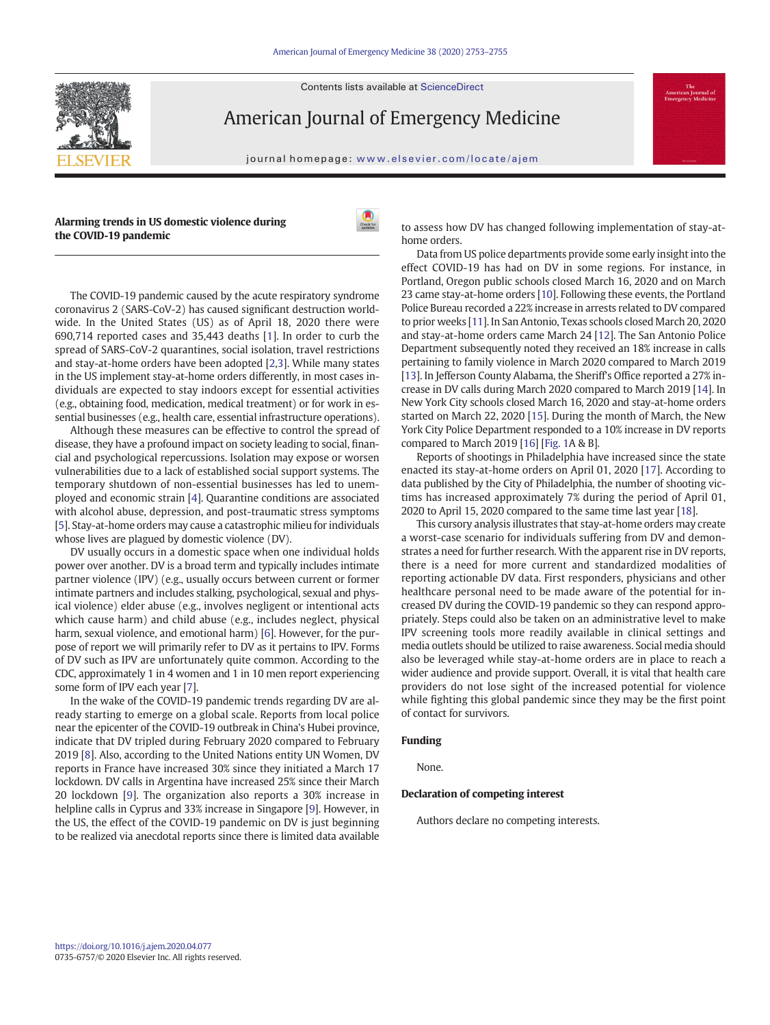Contents lists available at ScienceDirect



American Journal of Emergency Medicine

journal homepage: <www.elsevier.com/locate/ajem>

Alarming trends in US domestic violence during the COVID-19 pandemic



The COVID-19 pandemic caused by the acute respiratory syndrome coronavirus 2 (SARS-CoV-2) has caused significant destruction worldwide. In the United States (US) as of April 18, 2020 there were 690,714 reported cases and 35,443 deaths [[1](#page-1-0)]. In order to curb the spread of SARS-CoV-2 quarantines, social isolation, travel restrictions and stay-at-home orders have been adopted [\[2,3](#page-1-0)]. While many states in the US implement stay-at-home orders differently, in most cases individuals are expected to stay indoors except for essential activities (e.g., obtaining food, medication, medical treatment) or for work in essential businesses (e.g., health care, essential infrastructure operations).

Although these measures can be effective to control the spread of disease, they have a profound impact on society leading to social, financial and psychological repercussions. Isolation may expose or worsen vulnerabilities due to a lack of established social support systems. The temporary shutdown of non-essential businesses has led to unemployed and economic strain [\[4\]](#page-1-0). Quarantine conditions are associated with alcohol abuse, depression, and post-traumatic stress symptoms [\[5\]](#page-1-0). Stay-at-home orders may cause a catastrophic milieu for individuals whose lives are plagued by domestic violence (DV).

DV usually occurs in a domestic space when one individual holds power over another. DV is a broad term and typically includes intimate partner violence (IPV) (e.g., usually occurs between current or former intimate partners and includes stalking, psychological, sexual and physical violence) elder abuse (e.g., involves negligent or intentional acts which cause harm) and child abuse (e.g., includes neglect, physical harm, sexual violence, and emotional harm) [[6](#page-1-0)]. However, for the purpose of report we will primarily refer to DV as it pertains to IPV. Forms of DV such as IPV are unfortunately quite common. According to the CDC, approximately 1 in 4 women and 1 in 10 men report experiencing some form of IPV each year [[7\]](#page-1-0).

In the wake of the COVID-19 pandemic trends regarding DV are already starting to emerge on a global scale. Reports from local police near the epicenter of the COVID-19 outbreak in China's Hubei province, indicate that DV tripled during February 2020 compared to February 2019 [[8](#page-1-0)]. Also, according to the United Nations entity UN Women, DV reports in France have increased 30% since they initiated a March 17 lockdown. DV calls in Argentina have increased 25% since their March 20 lockdown [\[9\]](#page-1-0). The organization also reports a 30% increase in helpline calls in Cyprus and 33% increase in Singapore [\[9\]](#page-1-0). However, in the US, the effect of the COVID-19 pandemic on DV is just beginning to be realized via anecdotal reports since there is limited data available

to assess how DV has changed following implementation of stay-athome orders.

Data from US police departments provide some early insight into the effect COVID-19 has had on DV in some regions. For instance, in Portland, Oregon public schools closed March 16, 2020 and on March 23 came stay-at-home orders [[10](#page-1-0)]. Following these events, the Portland Police Bureau recorded a 22% increase in arrests related to DV compared to prior weeks [\[11\]](#page-1-0). In San Antonio, Texas schools closed March 20, 2020 and stay-at-home orders came March 24 [[12\]](#page-1-0). The San Antonio Police Department subsequently noted they received an 18% increase in calls pertaining to family violence in March 2020 compared to March 2019 [\[13](#page-1-0)]. In Jefferson County Alabama, the Sheriff's Office reported a 27% increase in DV calls during March 2020 compared to March 2019 [\[14\]](#page-1-0). In New York City schools closed March 16, 2020 and stay-at-home orders started on March 22, 2020 [\[15](#page-1-0)]. During the month of March, the New York City Police Department responded to a 10% increase in DV reports compared to March 2019 [\[16\]](#page-1-0) [[Fig. 1](#page-1-0)A & B].

Reports of shootings in Philadelphia have increased since the state enacted its stay-at-home orders on April 01, 2020 [[17\]](#page-1-0). According to data published by the City of Philadelphia, the number of shooting victims has increased approximately 7% during the period of April 01, 2020 to April 15, 2020 compared to the same time last year [[18](#page-1-0)].

This cursory analysis illustrates that stay-at-home orders may create a worst-case scenario for individuals suffering from DV and demonstrates a need for further research. With the apparent rise in DV reports, there is a need for more current and standardized modalities of reporting actionable DV data. First responders, physicians and other healthcare personal need to be made aware of the potential for increased DV during the COVID-19 pandemic so they can respond appropriately. Steps could also be taken on an administrative level to make IPV screening tools more readily available in clinical settings and media outlets should be utilized to raise awareness. Social media should also be leveraged while stay-at-home orders are in place to reach a wider audience and provide support. Overall, it is vital that health care providers do not lose sight of the increased potential for violence while fighting this global pandemic since they may be the first point of contact for survivors.

#### Funding

None.

#### Declaration of competing interest

Authors declare no competing interests.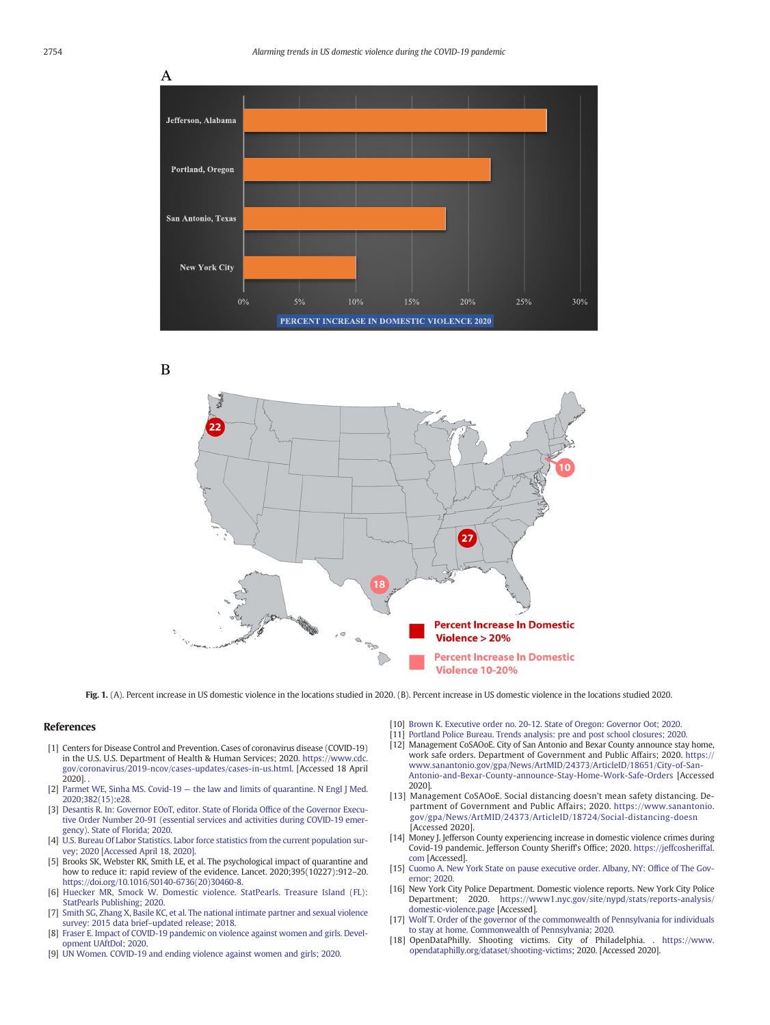<span id="page-1-0"></span>

B



Fig. 1. (A). Percent increase in US domestic violence in the locations studied in 2020. (B). Percent increase in US domestic violence in the locations studied 2020.

#### References

- [1] Centers for Disease Control and Prevention. Cases of coronavirus disease (COVID-19) in the U.S. U.S. Department of Health & Human Services; 2020. [https://www.cdc.](https://www.cdc.gov/coronavirus/2019-ncov/cases-updates/cases-in-us.html) [gov/coronavirus/2019-ncov/cases-updates/cases-in-us.html.](https://www.cdc.gov/coronavirus/2019-ncov/cases-updates/cases-in-us.html) [Accessed 18 April 2020]. .
- [2] Parmet WE, Sinha MS. Covid-19 [the law and limits of quarantine. N Engl J Med.](http://refhub.elsevier.com/S0735-6757(20)30307-7/rf0010) [2020;382\(15\):e28.](http://refhub.elsevier.com/S0735-6757(20)30307-7/rf0010)
- [3] [Desantis R. In: Governor EOoT, editor. State of Florida Of](http://refhub.elsevier.com/S0735-6757(20)30307-7/rf0015)fice of the Governor Execu[tive Order Number 20-91 \(essential services and activities during COVID-19 emer](http://refhub.elsevier.com/S0735-6757(20)30307-7/rf0015)[gency\). State of Florida; 2020.](http://refhub.elsevier.com/S0735-6757(20)30307-7/rf0015)
- [4] [U.S. Bureau Of Labor Statistics. Labor force statistics from the current population sur](http://refhub.elsevier.com/S0735-6757(20)30307-7/rf0020)[vey; 2020 \[Accessed April 18, 2020\].](http://refhub.elsevier.com/S0735-6757(20)30307-7/rf0020)
- [5] Brooks SK, Webster RK, Smith LE, et al. The psychological impact of quarantine and how to reduce it: rapid review of the evidence. Lancet. 2020;395(10227):912–20. [https://doi.org/10.1016/S0140-6736\(20\)30460-8.](https://doi.org/10.1016/S0140-6736(20)30460-8)
- [6] [Huecker MR, Smock W. Domestic violence. StatPearls. Treasure Island \(FL\):](http://refhub.elsevier.com/S0735-6757(20)30307-7/rf0030) [StatPearls Publishing; 2020.](http://refhub.elsevier.com/S0735-6757(20)30307-7/rf0030)
- [7] [Smith SG, Zhang X, Basile KC, et al. The national intimate partner and sexual violence](http://refhub.elsevier.com/S0735-6757(20)30307-7/rf0035) [survey: 2015 data brief](http://refhub.elsevier.com/S0735-6757(20)30307-7/rf0035)–updated release; 2018.
- [8] [Fraser E. Impact of COVID-19 pandemic on violence against women and girls. Devel](http://refhub.elsevier.com/S0735-6757(20)30307-7/rf0040)[opment UAftDoI; 2020.](http://refhub.elsevier.com/S0735-6757(20)30307-7/rf0040)
- [9] [UN Women. COVID-19 and ending violence against women and girls; 2020.](http://refhub.elsevier.com/S0735-6757(20)30307-7/rf0045)
- [10] [Brown K. Executive order no. 20-12. State of Oregon: Governor Oot; 2020.](http://refhub.elsevier.com/S0735-6757(20)30307-7/rf0050)
- [Portland Police Bureau. Trends analysis: pre and post school closures; 2020.](http://refhub.elsevier.com/S0735-6757(20)30307-7/rf0055)
- [12] Management CoSAOoE. City of San Antonio and Bexar County announce stay home, work safe orders. Department of Government and Public Affairs; 2020. [https://](https://www.sanantonio.gov/gpa/News/ArtMID/24373/ArticleID/18651/City-of-San-Antonio-and-Bexar-County-announce-Stay-Home-Work-Safe-Orders) [www.sanantonio.gov/gpa/News/ArtMID/24373/ArticleID/18651/City-of-San-](https://www.sanantonio.gov/gpa/News/ArtMID/24373/ArticleID/18651/City-of-San-Antonio-and-Bexar-County-announce-Stay-Home-Work-Safe-Orders)[Antonio-and-Bexar-County-announce-Stay-Home-Work-Safe-Orders](https://www.sanantonio.gov/gpa/News/ArtMID/24373/ArticleID/18651/City-of-San-Antonio-and-Bexar-County-announce-Stay-Home-Work-Safe-Orders) [Accessed 2020].
- [13] Management CoSAOoE. Social distancing doesn't mean safety distancing. Department of Government and Public Affairs; 2020. [https://www.sanantonio.](https://www.sanantonio.gov/gpa/News/ArtMID/24373/ArticleID/18724/Social-distancing-doesn) [gov/gpa/News/ArtMID/24373/ArticleID/18724/Social-distancing-doesn](https://www.sanantonio.gov/gpa/News/ArtMID/24373/ArticleID/18724/Social-distancing-doesn) [Accessed 2020].
- [14] Money J. Jefferson County experiencing increase in domestic violence crimes during Covid-19 pandemic. Jefferson County Sheriff's Office; 2020. [https://jeffcosheriffal.](https://jeffcosheriffal.com) [com](https://jeffcosheriffal.com) [Accessed].
- [15] [Cuomo A. New York State on pause executive order. Albany, NY: Of](http://refhub.elsevier.com/S0735-6757(20)30307-7/rf0075)fice of The Gov[ernor; 2020.](http://refhub.elsevier.com/S0735-6757(20)30307-7/rf0075)
- [16] New York City Police Department. Domestic violence reports. New York City Police Department; 2020. [https://www1.nyc.gov/site/nypd/stats/reports-analysis/](https://www1.nyc.gov/site/nypd/stats/reports-analysis/domestic-violence.page) [domestic-violence.page](https://www1.nyc.gov/site/nypd/stats/reports-analysis/domestic-violence.page) [Accessed].
- [17] [Wolf T. Order of the governor of the commonwealth of Pennsylvania for individuals](http://refhub.elsevier.com/S0735-6757(20)30307-7/rf0085) [to stay at home. Commonwealth of Pennsylvania; 2020.](http://refhub.elsevier.com/S0735-6757(20)30307-7/rf0085)
- [18] OpenDataPhilly. Shooting victims. City of Philadelphia. . [https://www.](https://www.opendataphilly.org/dataset/shooting-victims) [opendataphilly.org/dataset/shooting-victims](https://www.opendataphilly.org/dataset/shooting-victims); 2020. [Accessed 2020].